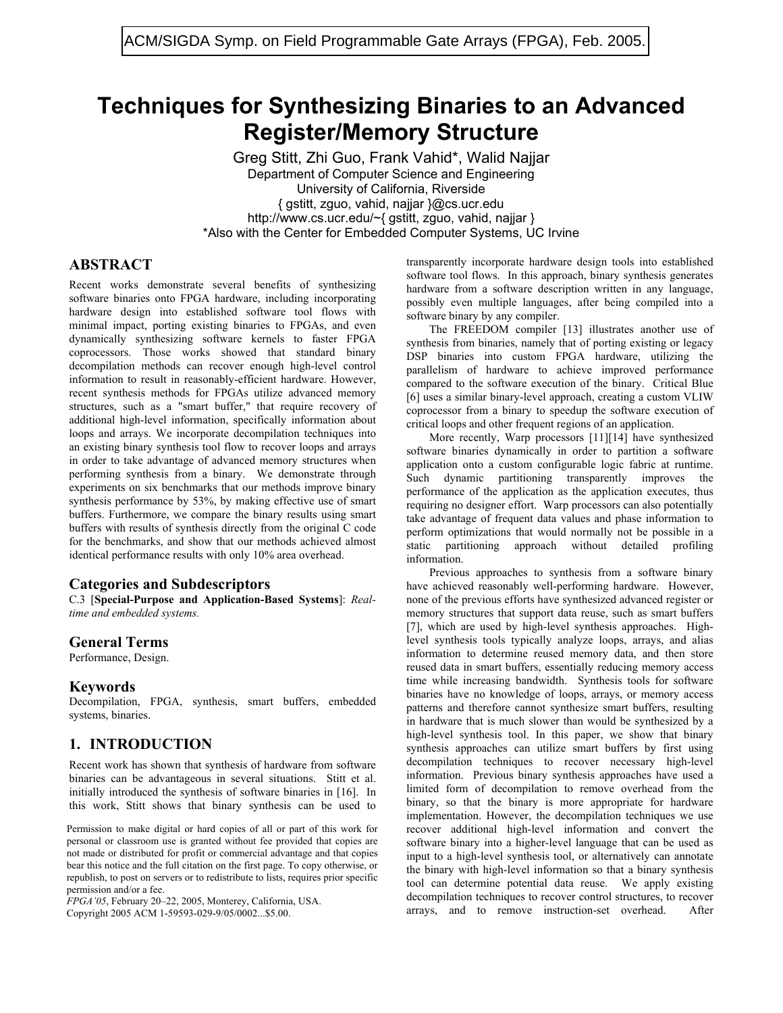# **Techniques for Synthesizing Binaries to an Advanced Register/Memory Structure**

Greg Stitt, Zhi Guo, Frank Vahid\*, Walid Najjar Department of Computer Science and Engineering University of California, Riverside { gstitt, zguo, vahid, najjar }@cs.ucr.edu http://www.cs.ucr.edu/~{ gstitt, zguo, vahid, najjar } \*Also with the Center for Embedded Computer Systems, UC Irvine

## **ABSTRACT**

Recent works demonstrate several benefits of synthesizing software binaries onto FPGA hardware, including incorporating hardware design into established software tool flows with minimal impact, porting existing binaries to FPGAs, and even dynamically synthesizing software kernels to faster FPGA coprocessors. Those works showed that standard binary decompilation methods can recover enough high-level control information to result in reasonably-efficient hardware. However, recent synthesis methods for FPGAs utilize advanced memory structures, such as a "smart buffer," that require recovery of additional high-level information, specifically information about loops and arrays. We incorporate decompilation techniques into an existing binary synthesis tool flow to recover loops and arrays in order to take advantage of advanced memory structures when performing synthesis from a binary. We demonstrate through experiments on six benchmarks that our methods improve binary synthesis performance by 53%, by making effective use of smart buffers. Furthermore, we compare the binary results using smart buffers with results of synthesis directly from the original C code for the benchmarks, and show that our methods achieved almost identical performance results with only 10% area overhead.

## **Categories and Subdescriptors**

C.3 [**Special-Purpose and Application-Based Systems**]: *Realtime and embedded systems.* 

## **General Terms**

Performance, Design.

## **Keywords**

Decompilation, FPGA, synthesis, smart buffers, embedded systems, binaries.

## **1. INTRODUCTION**

Recent work has shown that synthesis of hardware from software binaries can be advantageous in several situations. Stitt et al. initially introduced the synthesis of software binaries in [16]. In this work, Stitt shows that binary synthesis can be used to

Permission to make digital or hard copies of all or part of this work for personal or classroom use is granted without fee provided that copies are not made or distributed for profit or commercial advantage and that copies bear this notice and the full citation on the first page. To copy otherwise, or republish, to post on servers or to redistribute to lists, requires prior specific permission and/or a fee.

*FPGA'05*, February 20–22, 2005, Monterey, California, USA.

Copyright 2005 ACM 1-59593-029-9/05/0002...\$5.00.

transparently incorporate hardware design tools into established software tool flows. In this approach, binary synthesis generates hardware from a software description written in any language, possibly even multiple languages, after being compiled into a software binary by any compiler.

The FREEDOM compiler [13] illustrates another use of synthesis from binaries, namely that of porting existing or legacy DSP binaries into custom FPGA hardware, utilizing the parallelism of hardware to achieve improved performance compared to the software execution of the binary. Critical Blue [6] uses a similar binary-level approach, creating a custom VLIW coprocessor from a binary to speedup the software execution of critical loops and other frequent regions of an application.

More recently, Warp processors [11][14] have synthesized software binaries dynamically in order to partition a software application onto a custom configurable logic fabric at runtime. Such dynamic partitioning transparently improves the performance of the application as the application executes, thus requiring no designer effort. Warp processors can also potentially take advantage of frequent data values and phase information to perform optimizations that would normally not be possible in a static partitioning approach without detailed profiling information.

Previous approaches to synthesis from a software binary have achieved reasonably well-performing hardware. However, none of the previous efforts have synthesized advanced register or memory structures that support data reuse, such as smart buffers [7], which are used by high-level synthesis approaches. Highlevel synthesis tools typically analyze loops, arrays, and alias information to determine reused memory data, and then store reused data in smart buffers, essentially reducing memory access time while increasing bandwidth. Synthesis tools for software binaries have no knowledge of loops, arrays, or memory access patterns and therefore cannot synthesize smart buffers, resulting in hardware that is much slower than would be synthesized by a high-level synthesis tool. In this paper, we show that binary synthesis approaches can utilize smart buffers by first using decompilation techniques to recover necessary high-level information. Previous binary synthesis approaches have used a limited form of decompilation to remove overhead from the binary, so that the binary is more appropriate for hardware implementation. However, the decompilation techniques we use recover additional high-level information and convert the software binary into a higher-level language that can be used as input to a high-level synthesis tool, or alternatively can annotate the binary with high-level information so that a binary synthesis tool can determine potential data reuse. We apply existing decompilation techniques to recover control structures, to recover arrays, and to remove instruction-set overhead. After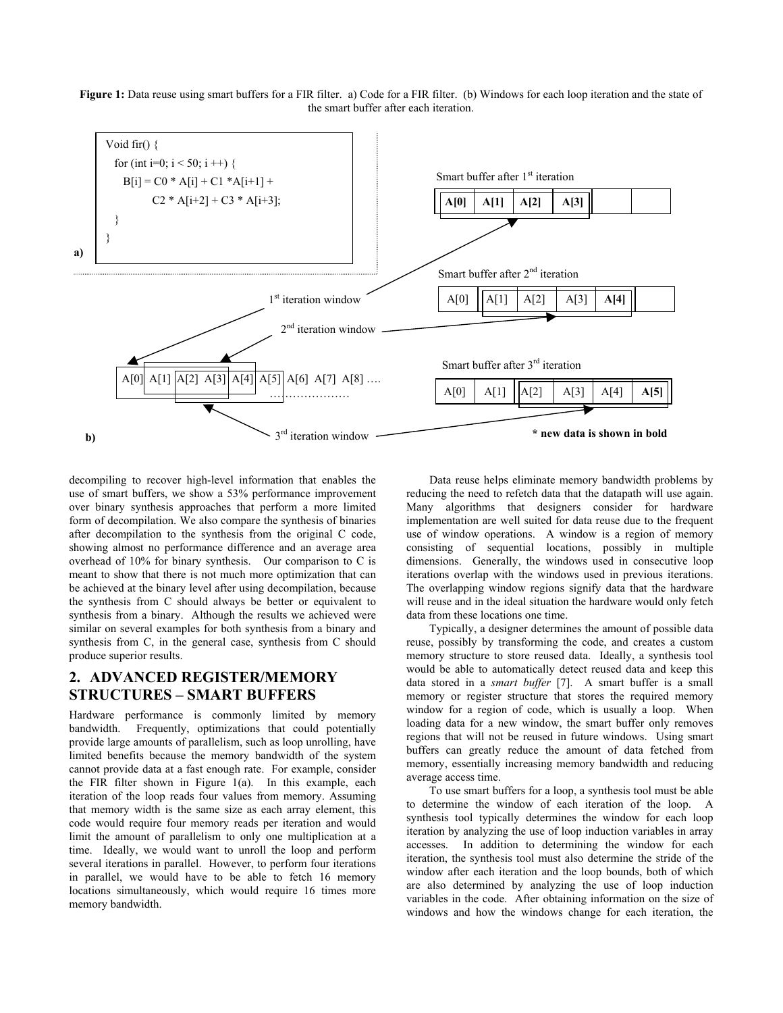

**Figure 1:** Data reuse using smart buffers for a FIR filter. a) Code for a FIR filter. (b) Windows for each loop iteration and the state of the smart buffer after each iteration.

decompiling to recover high-level information that enables the use of smart buffers, we show a 53% performance improvement over binary synthesis approaches that perform a more limited form of decompilation. We also compare the synthesis of binaries after decompilation to the synthesis from the original C code, showing almost no performance difference and an average area overhead of 10% for binary synthesis. Our comparison to C is meant to show that there is not much more optimization that can be achieved at the binary level after using decompilation, because the synthesis from C should always be better or equivalent to synthesis from a binary. Although the results we achieved were similar on several examples for both synthesis from a binary and synthesis from C, in the general case, synthesis from C should produce superior results.

## **2. ADVANCED REGISTER/MEMORY STRUCTURES – SMART BUFFERS**

Hardware performance is commonly limited by memory bandwidth. Frequently, optimizations that could potentially provide large amounts of parallelism, such as loop unrolling, have limited benefits because the memory bandwidth of the system cannot provide data at a fast enough rate. For example, consider the FIR filter shown in Figure 1(a). In this example, each iteration of the loop reads four values from memory. Assuming that memory width is the same size as each array element, this code would require four memory reads per iteration and would limit the amount of parallelism to only one multiplication at a time. Ideally, we would want to unroll the loop and perform several iterations in parallel. However, to perform four iterations in parallel, we would have to be able to fetch 16 memory locations simultaneously, which would require 16 times more memory bandwidth.

Data reuse helps eliminate memory bandwidth problems by reducing the need to refetch data that the datapath will use again. Many algorithms that designers consider for hardware implementation are well suited for data reuse due to the frequent use of window operations. A window is a region of memory consisting of sequential locations, possibly in multiple dimensions. Generally, the windows used in consecutive loop iterations overlap with the windows used in previous iterations. The overlapping window regions signify data that the hardware will reuse and in the ideal situation the hardware would only fetch data from these locations one time.

Typically, a designer determines the amount of possible data reuse, possibly by transforming the code, and creates a custom memory structure to store reused data. Ideally, a synthesis tool would be able to automatically detect reused data and keep this data stored in a *smart buffer* [7]. A smart buffer is a small memory or register structure that stores the required memory window for a region of code, which is usually a loop. When loading data for a new window, the smart buffer only removes regions that will not be reused in future windows. Using smart buffers can greatly reduce the amount of data fetched from memory, essentially increasing memory bandwidth and reducing average access time.

To use smart buffers for a loop, a synthesis tool must be able to determine the window of each iteration of the loop. A synthesis tool typically determines the window for each loop iteration by analyzing the use of loop induction variables in array accesses. In addition to determining the window for each iteration, the synthesis tool must also determine the stride of the window after each iteration and the loop bounds, both of which are also determined by analyzing the use of loop induction variables in the code. After obtaining information on the size of windows and how the windows change for each iteration, the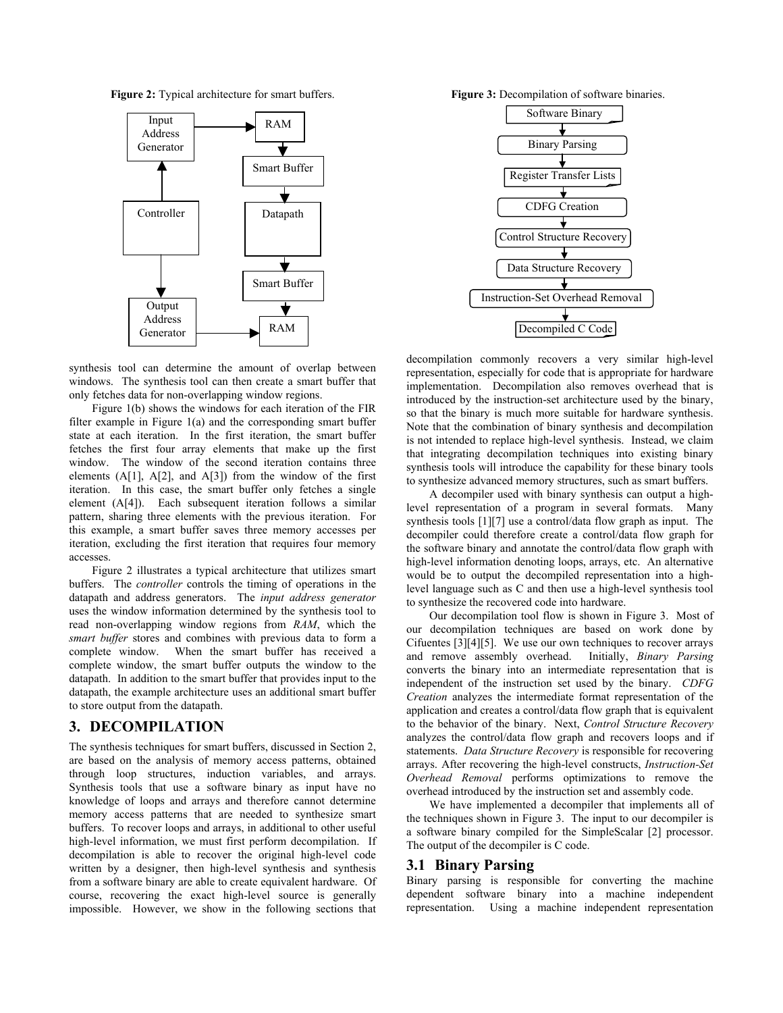

synthesis tool can determine the amount of overlap between windows. The synthesis tool can then create a smart buffer that only fetches data for non-overlapping window regions.

Figure 1(b) shows the windows for each iteration of the FIR filter example in Figure 1(a) and the corresponding smart buffer state at each iteration. In the first iteration, the smart buffer fetches the first four array elements that make up the first window. The window of the second iteration contains three elements  $(A[1], A[2],$  and  $A[3])$  from the window of the first iteration. In this case, the smart buffer only fetches a single element (A[4]). Each subsequent iteration follows a similar pattern, sharing three elements with the previous iteration. For this example, a smart buffer saves three memory accesses per iteration, excluding the first iteration that requires four memory accesses.

Figure 2 illustrates a typical architecture that utilizes smart buffers. The *controller* controls the timing of operations in the datapath and address generators. The *input address generator* uses the window information determined by the synthesis tool to read non-overlapping window regions from *RAM*, which the *smart buffer* stores and combines with previous data to form a complete window. When the smart buffer has received a complete window, the smart buffer outputs the window to the datapath. In addition to the smart buffer that provides input to the datapath, the example architecture uses an additional smart buffer to store output from the datapath.

## **3. DECOMPILATION**

The synthesis techniques for smart buffers, discussed in Section 2, are based on the analysis of memory access patterns, obtained through loop structures, induction variables, and arrays. Synthesis tools that use a software binary as input have no knowledge of loops and arrays and therefore cannot determine memory access patterns that are needed to synthesize smart buffers. To recover loops and arrays, in additional to other useful high-level information, we must first perform decompilation. If decompilation is able to recover the original high-level code written by a designer, then high-level synthesis and synthesis from a software binary are able to create equivalent hardware. Of course, recovering the exact high-level source is generally impossible. However, we show in the following sections that

**Figure 2:** Typical architecture for smart buffers. **Figure 3:** Decompilation of software binaries.



decompilation commonly recovers a very similar high-level representation, especially for code that is appropriate for hardware implementation. Decompilation also removes overhead that is introduced by the instruction-set architecture used by the binary, so that the binary is much more suitable for hardware synthesis. Note that the combination of binary synthesis and decompilation is not intended to replace high-level synthesis. Instead, we claim that integrating decompilation techniques into existing binary synthesis tools will introduce the capability for these binary tools to synthesize advanced memory structures, such as smart buffers.

A decompiler used with binary synthesis can output a highlevel representation of a program in several formats. Many synthesis tools [1][7] use a control/data flow graph as input. The decompiler could therefore create a control/data flow graph for the software binary and annotate the control/data flow graph with high-level information denoting loops, arrays, etc. An alternative would be to output the decompiled representation into a highlevel language such as C and then use a high-level synthesis tool to synthesize the recovered code into hardware.

Our decompilation tool flow is shown in Figure 3. Most of our decompilation techniques are based on work done by Cifuentes [3][4][5]. We use our own techniques to recover arrays and remove assembly overhead. Initially, *Binary Parsing*  converts the binary into an intermediate representation that is independent of the instruction set used by the binary. *CDFG Creation* analyzes the intermediate format representation of the application and creates a control/data flow graph that is equivalent to the behavior of the binary. Next, *Control Structure Recovery*  analyzes the control/data flow graph and recovers loops and if statements. *Data Structure Recovery* is responsible for recovering arrays. After recovering the high-level constructs, *Instruction-Set Overhead Removal* performs optimizations to remove the overhead introduced by the instruction set and assembly code.

We have implemented a decompiler that implements all of the techniques shown in Figure 3. The input to our decompiler is a software binary compiled for the SimpleScalar [2] processor. The output of the decompiler is C code.

## **3.1 Binary Parsing**

Binary parsing is responsible for converting the machine dependent software binary into a machine independent representation. Using a machine independent representation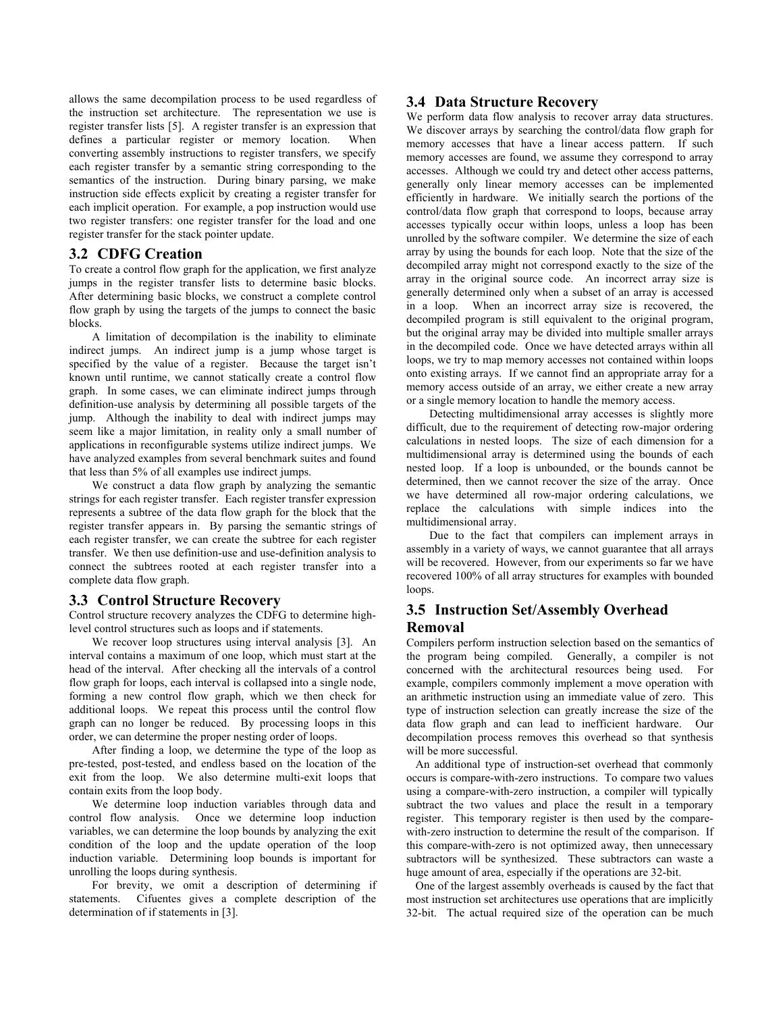allows the same decompilation process to be used regardless of the instruction set architecture. The representation we use is register transfer lists [5]. A register transfer is an expression that defines a particular register or memory location. When converting assembly instructions to register transfers, we specify each register transfer by a semantic string corresponding to the semantics of the instruction. During binary parsing, we make instruction side effects explicit by creating a register transfer for each implicit operation. For example, a pop instruction would use two register transfers: one register transfer for the load and one register transfer for the stack pointer update.

## **3.2 CDFG Creation**

To create a control flow graph for the application, we first analyze jumps in the register transfer lists to determine basic blocks. After determining basic blocks, we construct a complete control flow graph by using the targets of the jumps to connect the basic blocks.

A limitation of decompilation is the inability to eliminate indirect jumps. An indirect jump is a jump whose target is specified by the value of a register. Because the target isn't known until runtime, we cannot statically create a control flow graph. In some cases, we can eliminate indirect jumps through definition-use analysis by determining all possible targets of the jump. Although the inability to deal with indirect jumps may seem like a major limitation, in reality only a small number of applications in reconfigurable systems utilize indirect jumps. We have analyzed examples from several benchmark suites and found that less than 5% of all examples use indirect jumps.

We construct a data flow graph by analyzing the semantic strings for each register transfer. Each register transfer expression represents a subtree of the data flow graph for the block that the register transfer appears in. By parsing the semantic strings of each register transfer, we can create the subtree for each register transfer. We then use definition-use and use-definition analysis to connect the subtrees rooted at each register transfer into a complete data flow graph.

## **3.3 Control Structure Recovery**

Control structure recovery analyzes the CDFG to determine highlevel control structures such as loops and if statements.

We recover loop structures using interval analysis [3]. An interval contains a maximum of one loop, which must start at the head of the interval. After checking all the intervals of a control flow graph for loops, each interval is collapsed into a single node, forming a new control flow graph, which we then check for additional loops. We repeat this process until the control flow graph can no longer be reduced. By processing loops in this order, we can determine the proper nesting order of loops.

After finding a loop, we determine the type of the loop as pre-tested, post-tested, and endless based on the location of the exit from the loop. We also determine multi-exit loops that contain exits from the loop body.

We determine loop induction variables through data and control flow analysis. Once we determine loop induction variables, we can determine the loop bounds by analyzing the exit condition of the loop and the update operation of the loop induction variable. Determining loop bounds is important for unrolling the loops during synthesis.

For brevity, we omit a description of determining if statements. Cifuentes gives a complete description of the determination of if statements in [3].

## **3.4 Data Structure Recovery**

We perform data flow analysis to recover array data structures. We discover arrays by searching the control/data flow graph for memory accesses that have a linear access pattern. If such memory accesses are found, we assume they correspond to array accesses. Although we could try and detect other access patterns, generally only linear memory accesses can be implemented efficiently in hardware. We initially search the portions of the control/data flow graph that correspond to loops, because array accesses typically occur within loops, unless a loop has been unrolled by the software compiler. We determine the size of each array by using the bounds for each loop. Note that the size of the decompiled array might not correspond exactly to the size of the array in the original source code. An incorrect array size is generally determined only when a subset of an array is accessed in a loop. When an incorrect array size is recovered, the decompiled program is still equivalent to the original program, but the original array may be divided into multiple smaller arrays in the decompiled code. Once we have detected arrays within all loops, we try to map memory accesses not contained within loops onto existing arrays. If we cannot find an appropriate array for a memory access outside of an array, we either create a new array or a single memory location to handle the memory access.

Detecting multidimensional array accesses is slightly more difficult, due to the requirement of detecting row-major ordering calculations in nested loops. The size of each dimension for a multidimensional array is determined using the bounds of each nested loop. If a loop is unbounded, or the bounds cannot be determined, then we cannot recover the size of the array. Once we have determined all row-major ordering calculations, we replace the calculations with simple indices into the multidimensional array.

Due to the fact that compilers can implement arrays in assembly in a variety of ways, we cannot guarantee that all arrays will be recovered. However, from our experiments so far we have recovered 100% of all array structures for examples with bounded loops.

## **3.5 Instruction Set/Assembly Overhead Removal**

Compilers perform instruction selection based on the semantics of the program being compiled. Generally, a compiler is not concerned with the architectural resources being used. For example, compilers commonly implement a move operation with an arithmetic instruction using an immediate value of zero. This type of instruction selection can greatly increase the size of the data flow graph and can lead to inefficient hardware. Our decompilation process removes this overhead so that synthesis will be more successful.

An additional type of instruction-set overhead that commonly occurs is compare-with-zero instructions. To compare two values using a compare-with-zero instruction, a compiler will typically subtract the two values and place the result in a temporary register. This temporary register is then used by the comparewith-zero instruction to determine the result of the comparison. If this compare-with-zero is not optimized away, then unnecessary subtractors will be synthesized. These subtractors can waste a huge amount of area, especially if the operations are 32-bit.

One of the largest assembly overheads is caused by the fact that most instruction set architectures use operations that are implicitly 32-bit. The actual required size of the operation can be much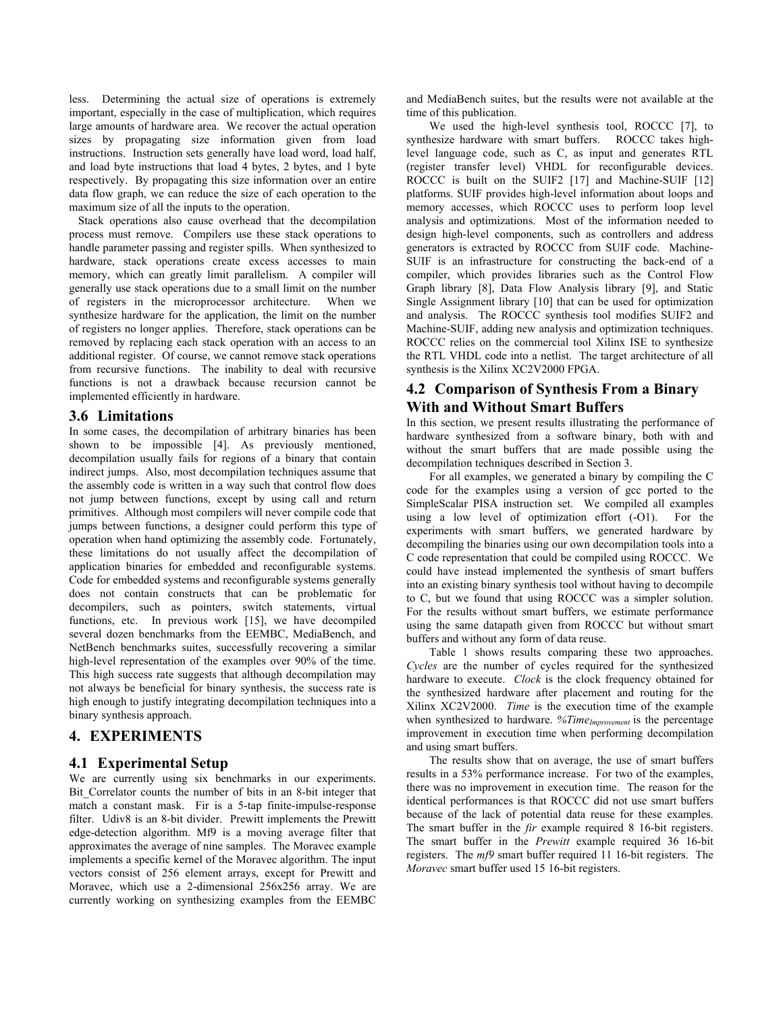less. Determining the actual size of operations is extremely important, especially in the case of multiplication, which requires large amounts of hardware area. We recover the actual operation sizes by propagating size information given from load instructions. Instruction sets generally have load word, load half, and load byte instructions that load 4 bytes, 2 bytes, and 1 byte respectively. By propagating this size information over an entire data flow graph, we can reduce the size of each operation to the maximum size of all the inputs to the operation.

Stack operations also cause overhead that the decompilation process must remove. Compilers use these stack operations to handle parameter passing and register spills. When synthesized to hardware, stack operations create excess accesses to main memory, which can greatly limit parallelism. A compiler will generally use stack operations due to a small limit on the number of registers in the microprocessor architecture. When we synthesize hardware for the application, the limit on the number of registers no longer applies. Therefore, stack operations can be removed by replacing each stack operation with an access to an additional register. Of course, we cannot remove stack operations from recursive functions. The inability to deal with recursive functions is not a drawback because recursion cannot be implemented efficiently in hardware.

## **3.6 Limitations**

In some cases, the decompilation of arbitrary binaries has been shown to be impossible [4]. As previously mentioned, decompilation usually fails for regions of a binary that contain indirect jumps. Also, most decompilation techniques assume that the assembly code is written in a way such that control flow does not jump between functions, except by using call and return primitives. Although most compilers will never compile code that jumps between functions, a designer could perform this type of operation when hand optimizing the assembly code. Fortunately, these limitations do not usually affect the decompilation of application binaries for embedded and reconfigurable systems. Code for embedded systems and reconfigurable systems generally does not contain constructs that can be problematic for decompilers, such as pointers, switch statements, virtual functions, etc. In previous work [15], we have decompiled several dozen benchmarks from the EEMBC, MediaBench, and NetBench benchmarks suites, successfully recovering a similar high-level representation of the examples over 90% of the time. This high success rate suggests that although decompilation may not always be beneficial for binary synthesis, the success rate is high enough to justify integrating decompilation techniques into a binary synthesis approach.

## **4. EXPERIMENTS**

## **4.1 Experimental Setup**

We are currently using six benchmarks in our experiments. Bit Correlator counts the number of bits in an 8-bit integer that match a constant mask. Fir is a 5-tap finite-impulse-response filter. Udiv8 is an 8-bit divider. Prewitt implements the Prewitt edge-detection algorithm. Mf9 is a moving average filter that approximates the average of nine samples. The Moravec example implements a specific kernel of the Moravec algorithm. The input vectors consist of 256 element arrays, except for Prewitt and Moravec, which use a 2-dimensional 256x256 array. We are currently working on synthesizing examples from the EEMBC

and MediaBench suites, but the results were not available at the time of this publication.

We used the high-level synthesis tool, ROCCC [7], to synthesize hardware with smart buffers. ROCCC takes highlevel language code, such as C, as input and generates RTL (register transfer level) VHDL for reconfigurable devices. ROCCC is built on the SUIF2 [17] and Machine-SUIF [12] platforms. SUIF provides high-level information about loops and memory accesses, which ROCCC uses to perform loop level analysis and optimizations. Most of the information needed to design high-level components, such as controllers and address generators is extracted by ROCCC from SUIF code. Machine-SUIF is an infrastructure for constructing the back-end of a compiler, which provides libraries such as the Control Flow Graph library [8], Data Flow Analysis library [9], and Static Single Assignment library [10] that can be used for optimization and analysis. The ROCCC synthesis tool modifies SUIF2 and Machine-SUIF, adding new analysis and optimization techniques. ROCCC relies on the commercial tool Xilinx ISE to synthesize the RTL VHDL code into a netlist. The target architecture of all synthesis is the Xilinx XC2V2000 FPGA.

## **4.2 Comparison of Synthesis From a Binary With and Without Smart Buffers**

In this section, we present results illustrating the performance of hardware synthesized from a software binary, both with and without the smart buffers that are made possible using the decompilation techniques described in Section 3.

For all examples, we generated a binary by compiling the C code for the examples using a version of gcc ported to the SimpleScalar PISA instruction set. We compiled all examples using a low level of optimization effort (-O1). For the experiments with smart buffers, we generated hardware by decompiling the binaries using our own decompilation tools into a C code representation that could be compiled using ROCCC. We could have instead implemented the synthesis of smart buffers into an existing binary synthesis tool without having to decompile to C, but we found that using ROCCC was a simpler solution. For the results without smart buffers, we estimate performance using the same datapath given from ROCCC but without smart buffers and without any form of data reuse.

Table 1 shows results comparing these two approaches. *Cycles* are the number of cycles required for the synthesized hardware to execute. *Clock* is the clock frequency obtained for the synthesized hardware after placement and routing for the Xilinx XC2V2000. *Time* is the execution time of the example when synthesized to hardware.  $\frac{\%Time_{Improvement}}{\%Time_{Improvement}}$  is the percentage improvement in execution time when performing decompilation and using smart buffers.

The results show that on average, the use of smart buffers results in a 53% performance increase. For two of the examples, there was no improvement in execution time. The reason for the identical performances is that ROCCC did not use smart buffers because of the lack of potential data reuse for these examples. The smart buffer in the *fir* example required 8 16-bit registers. The smart buffer in the *Prewitt* example required 36 16-bit registers. The *mf9* smart buffer required 11 16-bit registers. The *Moravec* smart buffer used 15 16-bit registers.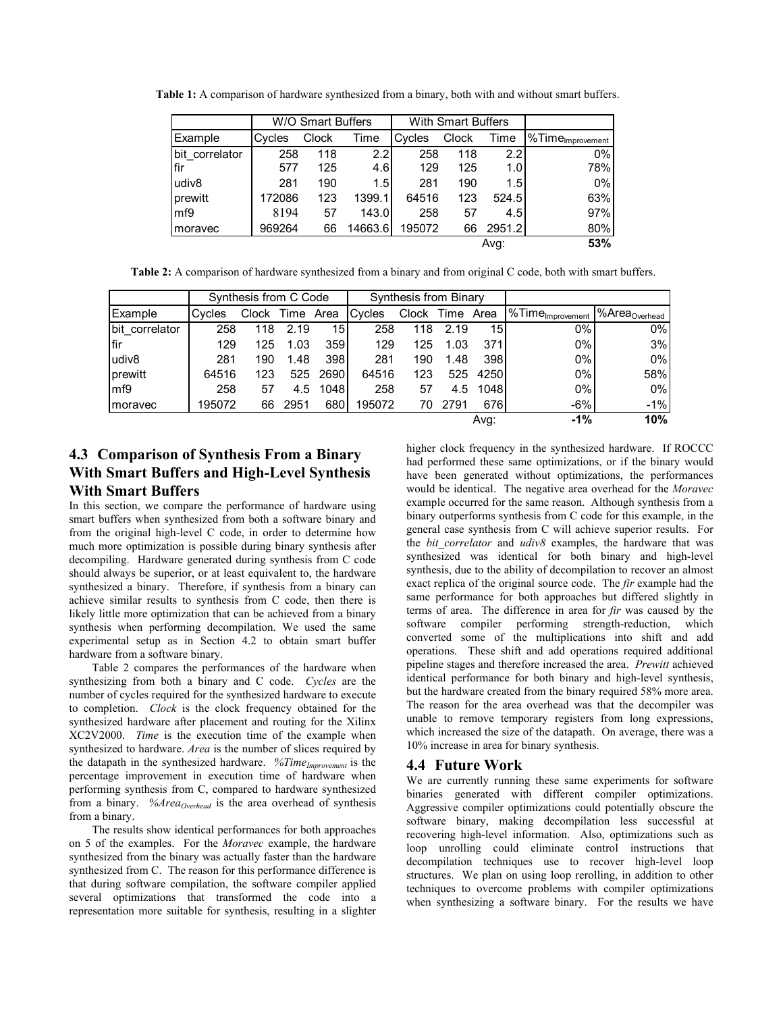**Table 1:** A comparison of hardware synthesized from a binary, both with and without smart buffers.

|                   |        | W/O Smart Buffers |         |        | <b>With Smart Buffers</b> |                  |                              |
|-------------------|--------|-------------------|---------|--------|---------------------------|------------------|------------------------------|
| Example           | Cycles | Clock             | Time    | Cycles | Clock                     | Time             | %Time <sub>Improvement</sub> |
| bit correlator    | 258    | 118               | 2.2     | 258    | 118                       | 2.2              | $0\%$                        |
| lfir              | 577    | 125               | 4.6     | 129    | 125                       | 1.0 <sub>l</sub> | 78%                          |
| udiv <sub>8</sub> | 281    | 190               | 1.5     | 281    | 190                       | 1.5              | $0\%$                        |
| prewitt           | 172086 | 123               | 1399.1  | 64516  | 123                       | 524.5            | 63%                          |
| lmf9              | 8194   | 57                | 143.0   | 258    | 57                        | 4.5              | 97%                          |
| Imoravec          | 969264 | 66                | 14663.6 | 195072 | 66                        | 2951.2           | 80%                          |
|                   | 53%    |                   |         |        |                           |                  |                              |

**Table 2:** A comparison of hardware synthesized from a binary and from original C code, both with smart buffers.

|                   | Synthesis from C Code |                 |      |                 | Synthesis from Binary |                 |      |                 |                                      |                            |
|-------------------|-----------------------|-----------------|------|-----------------|-----------------------|-----------------|------|-----------------|--------------------------------------|----------------------------|
| Example           | Cycles                | Clock Time Area |      |                 | Cycles                | Clock Time Area |      |                 | <b>1%Time</b> <sub>Improvement</sub> | I%Area <sub>Overhead</sub> |
| bit correlator    | 258                   | 118             | 2.19 | 15 <sub>1</sub> | 258                   | 118             | 2.19 | 15 <sub>l</sub> | $0\%$                                | $0\%$                      |
| fir               | 129                   | 125             | 1.03 | 359             | 129                   | 125             | 1.03 | 371             | $0\%$                                | 3%                         |
| udiv <sub>8</sub> | 281                   | 190             | 1.48 | 398             | 281                   | 190             | 1.48 | 398             | $0\%$                                | $0\%$                      |
| prewitt           | 64516                 | 123             | 525  | 2690            | 64516                 | 123             | 525  | 4250            | $0\%$                                | 58%                        |
| lmf9              | 258                   | 57              | 4.5  | 1048            | 258                   | 57              | 4.5  | 1048            | $0\%$                                | $0\%$                      |
| moravec           | 195072                | 66              | 2951 | 680             | 195072                | 70              | 2791 | 676             | $-6%$                                | $-1%$                      |
|                   |                       |                 |      |                 |                       |                 |      | Avq:            | $-1%$                                | 10%                        |

# **4.3 Comparison of Synthesis From a Binary With Smart Buffers and High-Level Synthesis With Smart Buffers**

In this section, we compare the performance of hardware using smart buffers when synthesized from both a software binary and from the original high-level C code, in order to determine how much more optimization is possible during binary synthesis after decompiling. Hardware generated during synthesis from C code should always be superior, or at least equivalent to, the hardware synthesized a binary. Therefore, if synthesis from a binary can achieve similar results to synthesis from C code, then there is likely little more optimization that can be achieved from a binary synthesis when performing decompilation. We used the same experimental setup as in Section 4.2 to obtain smart buffer hardware from a software binary.

Table 2 compares the performances of the hardware when synthesizing from both a binary and C code. *Cycles* are the number of cycles required for the synthesized hardware to execute to completion. *Clock* is the clock frequency obtained for the synthesized hardware after placement and routing for the Xilinx XC2V2000. *Time* is the execution time of the example when synthesized to hardware. *Area* is the number of slices required by the datapath in the synthesized hardware. *%Time<sub>Improvement</sub>* is the percentage improvement in execution time of hardware when performing synthesis from C, compared to hardware synthesized from a binary. *%Area<sub>Overhead</sub>* is the area overhead of synthesis from a binary.

The results show identical performances for both approaches on 5 of the examples. For the *Moravec* example, the hardware synthesized from the binary was actually faster than the hardware synthesized from C. The reason for this performance difference is that during software compilation, the software compiler applied several optimizations that transformed the code into a representation more suitable for synthesis, resulting in a slighter

higher clock frequency in the synthesized hardware. If ROCCC had performed these same optimizations, or if the binary would have been generated without optimizations, the performances would be identical. The negative area overhead for the *Moravec*  example occurred for the same reason. Although synthesis from a binary outperforms synthesis from C code for this example, in the general case synthesis from C will achieve superior results. For the *bit correlator* and *udiv8* examples, the hardware that was synthesized was identical for both binary and high-level synthesis, due to the ability of decompilation to recover an almost exact replica of the original source code. The *fir* example had the same performance for both approaches but differed slightly in terms of area. The difference in area for *fir* was caused by the software compiler performing strength-reduction, which converted some of the multiplications into shift and add operations. These shift and add operations required additional pipeline stages and therefore increased the area. *Prewitt* achieved identical performance for both binary and high-level synthesis, but the hardware created from the binary required 58% more area. The reason for the area overhead was that the decompiler was unable to remove temporary registers from long expressions, which increased the size of the datapath. On average, there was a 10% increase in area for binary synthesis.

#### **4.4 Future Work**

We are currently running these same experiments for software binaries generated with different compiler optimizations. Aggressive compiler optimizations could potentially obscure the software binary, making decompilation less successful at recovering high-level information. Also, optimizations such as loop unrolling could eliminate control instructions that decompilation techniques use to recover high-level loop structures. We plan on using loop rerolling, in addition to other techniques to overcome problems with compiler optimizations when synthesizing a software binary. For the results we have